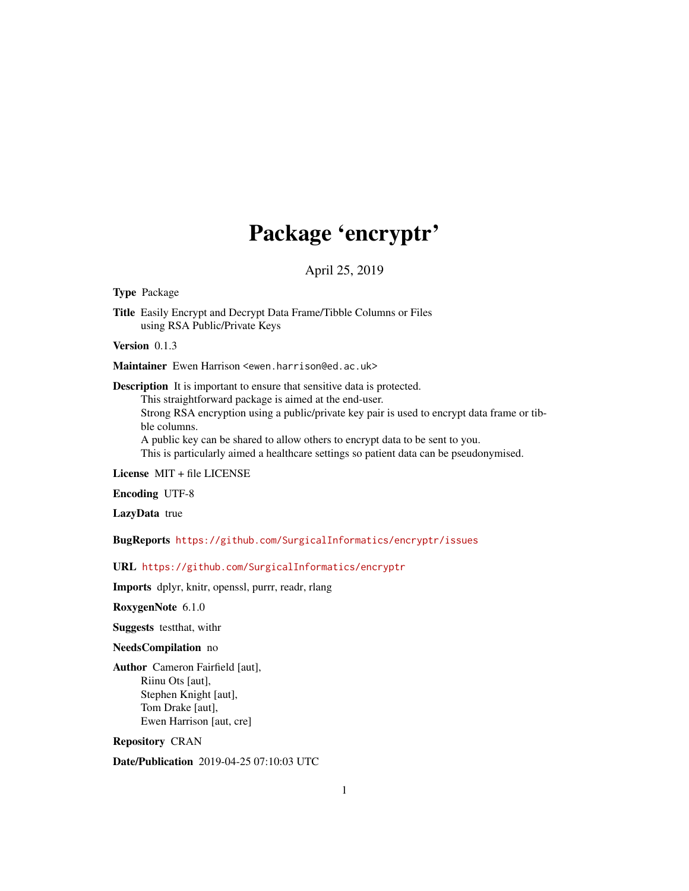## Package 'encryptr'

April 25, 2019

<span id="page-0-0"></span>Type Package

Title Easily Encrypt and Decrypt Data Frame/Tibble Columns or Files using RSA Public/Private Keys

Version 0.1.3

Maintainer Ewen Harrison <ewen.harrison@ed.ac.uk>

Description It is important to ensure that sensitive data is protected.

This straightforward package is aimed at the end-user.

Strong RSA encryption using a public/private key pair is used to encrypt data frame or tibble columns.

A public key can be shared to allow others to encrypt data to be sent to you.

This is particularly aimed a healthcare settings so patient data can be pseudonymised.

License MIT + file LICENSE

Encoding UTF-8

LazyData true

BugReports <https://github.com/SurgicalInformatics/encryptr/issues>

URL <https://github.com/SurgicalInformatics/encryptr>

Imports dplyr, knitr, openssl, purrr, readr, rlang

RoxygenNote 6.1.0

Suggests testthat, withr

NeedsCompilation no

Author Cameron Fairfield [aut], Riinu Ots [aut], Stephen Knight [aut], Tom Drake [aut], Ewen Harrison [aut, cre]

Repository CRAN

Date/Publication 2019-04-25 07:10:03 UTC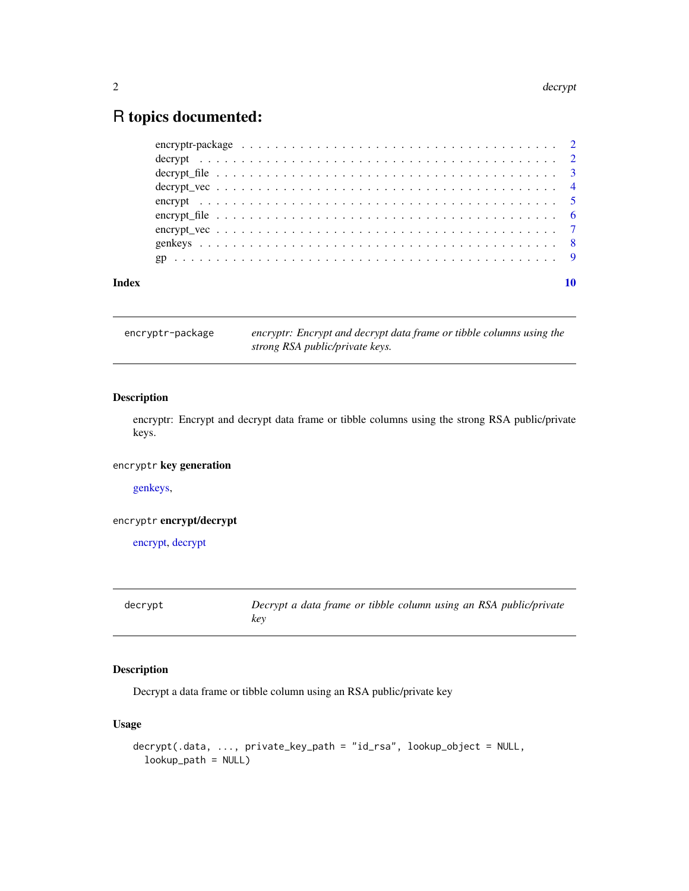## <span id="page-1-0"></span>R topics documented:

| Index |  |  |
|-------|--|--|

encryptr-package *encryptr: Encrypt and decrypt data frame or tibble columns using the strong RSA public/private keys.*

#### Description

encryptr: Encrypt and decrypt data frame or tibble columns using the strong RSA public/private keys.

#### encryptr key generation

[genkeys,](#page-7-1)

#### encryptr encrypt/decrypt

[encrypt,](#page-4-1) [decrypt](#page-1-1)

<span id="page-1-1"></span>decrypt *Decrypt a data frame or tibble column using an RSA public/private key*

### Description

Decrypt a data frame or tibble column using an RSA public/private key

#### Usage

```
decrypt(.data, ..., private_key_path = "id_rsa", lookup_object = NULL,
  lookup_path = NULL)
```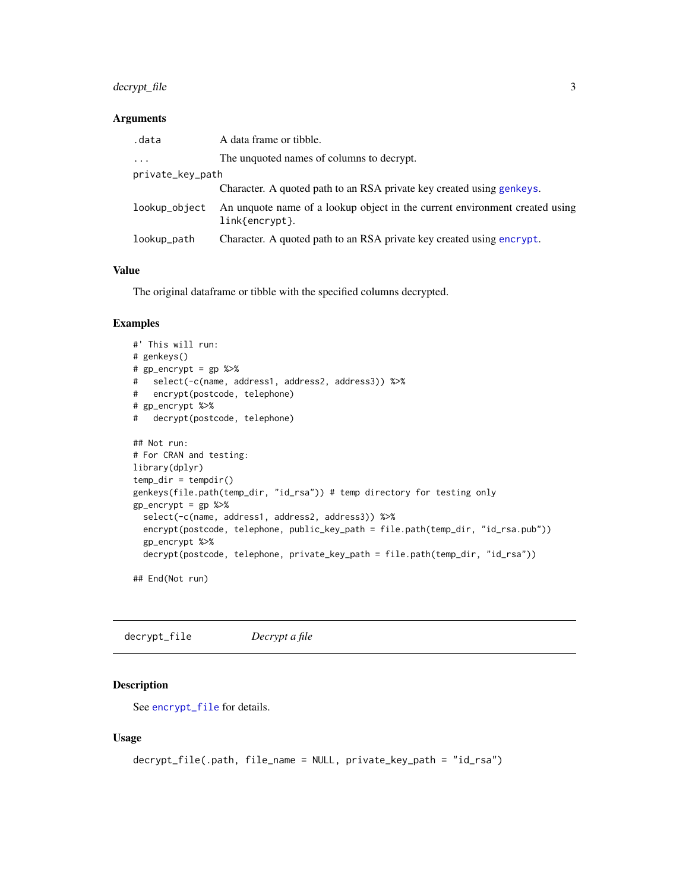#### <span id="page-2-0"></span>decrypt\_file 3

#### Arguments

| .data            | A data frame or tibble.                                                                           |
|------------------|---------------------------------------------------------------------------------------------------|
| $\cdots$         | The unquoted names of columns to decrypt.                                                         |
| private_key_path |                                                                                                   |
|                  | Character. A quoted path to an RSA private key created using genkeys.                             |
| lookup_object    | An unquote name of a lookup object in the current environment created using<br>$link\{entropy\}.$ |
| lookup_path      | Character. A quoted path to an RSA private key created using encrypt.                             |

#### Value

The original dataframe or tibble with the specified columns decrypted.

#### Examples

```
#' This will run:
# genkeys()
# gp_encrypt = gp %>%
# select(-c(name, address1, address2, address3)) %>%
# encrypt(postcode, telephone)
# gp_encrypt %>%
# decrypt(postcode, telephone)
## Not run:
# For CRAN and testing:
library(dplyr)
temp\_dir = tempdir()genkeys(file.path(temp_dir, "id_rsa")) # temp directory for testing only
gp_{\text{energy}} = gp %>%
  select(-c(name, address1, address2, address3)) %>%
  encrypt(postcode, telephone, public_key_path = file.path(temp_dir, "id_rsa.pub"))
  gp_encrypt %>%
  decrypt(postcode, telephone, private_key_path = file.path(temp_dir, "id_rsa"))
```
## End(Not run)

decrypt\_file *Decrypt a file*

#### Description

See [encrypt\\_file](#page-5-1) for details.

#### Usage

```
decrypt_file(.path, file_name = NULL, private_key_path = "id_rsa")
```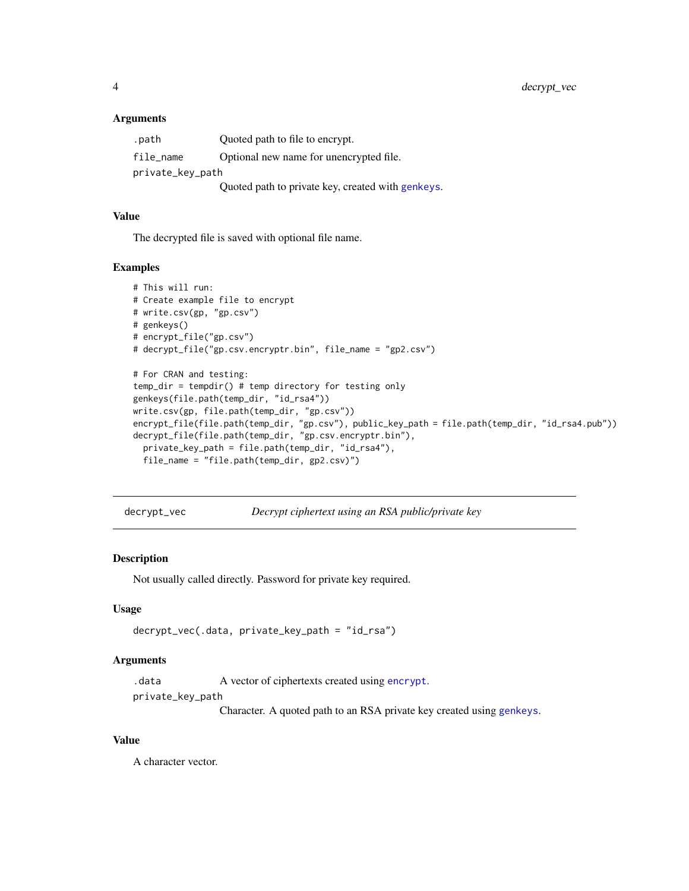#### <span id="page-3-0"></span>**Arguments**

| .path            | Quoted path to file to encrypt.                   |
|------------------|---------------------------------------------------|
| file_name        | Optional new name for unencrypted file.           |
| private_key_path |                                                   |
|                  | Quoted path to private key, created with genkeys. |

#### Value

The decrypted file is saved with optional file name.

#### Examples

```
# This will run:
# Create example file to encrypt
# write.csv(gp, "gp.csv")
# genkeys()
# encrypt_file("gp.csv")
# decrypt_file("gp.csv.encryptr.bin", file_name = "gp2.csv")
# For CRAN and testing:
temp_dir = tempdir() # temp directory for testing only
genkeys(file.path(temp_dir, "id_rsa4"))
write.csv(gp, file.path(temp_dir, "gp.csv"))
encrypt_file(file.path(temp_dir, "gp.csv"), public_key_path = file.path(temp_dir, "id_rsa4.pub"))
decrypt_file(file.path(temp_dir, "gp.csv.encryptr.bin"),
  private_key_path = file.path(temp_dir, "id_rsa4"),
  file_name = "file.path(temp_dir, gp2.csv)")
```
decrypt\_vec *Decrypt ciphertext using an RSA public/private key*

#### Description

Not usually called directly. Password for private key required.

#### Usage

```
decrypt_vec(.data, private_key_path = "id_rsa")
```
#### Arguments

.data A vector of ciphertexts created using [encrypt](#page-4-1).

private\_key\_path

Character. A quoted path to an RSA private key created using [genkeys](#page-7-1).

#### Value

A character vector.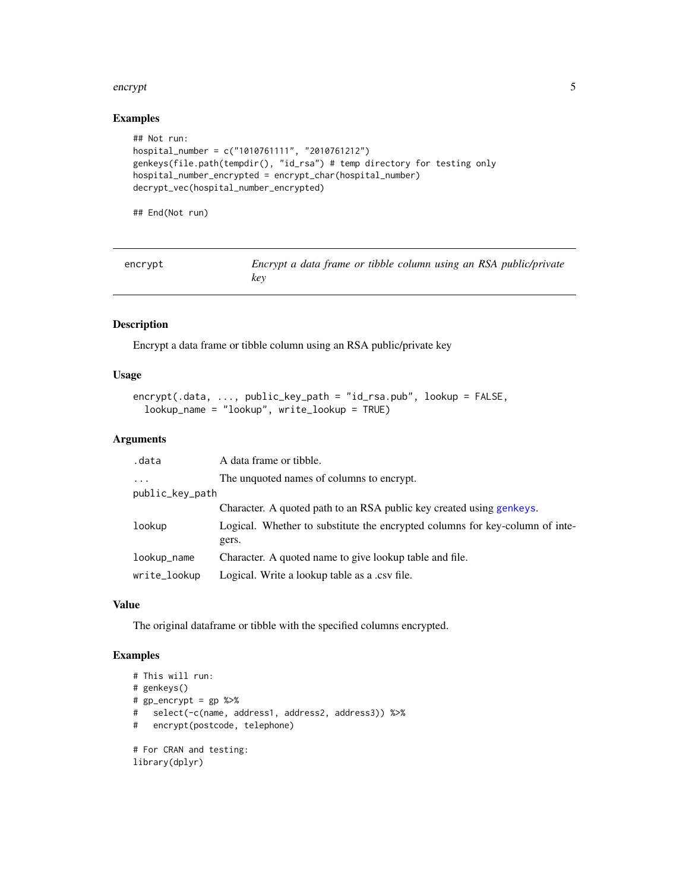#### <span id="page-4-0"></span>encrypt 5

#### Examples

```
## Not run:
hospital_number = c("1010761111", "2010761212")
genkeys(file.path(tempdir(), "id_rsa") # temp directory for testing only
hospital_number_encrypted = encrypt_char(hospital_number)
decrypt_vec(hospital_number_encrypted)
```
## End(Not run)

<span id="page-4-1"></span>

| encrypt | Encrypt a data frame or tibble column using an RSA public/private |  |  |
|---------|-------------------------------------------------------------------|--|--|
|         | kev                                                               |  |  |

#### Description

Encrypt a data frame or tibble column using an RSA public/private key

#### Usage

```
encrypt(.data, ..., public_key_path = "id_rsa.pub", lookup = FALSE,
 lookup_name = "lookup", write_lookup = TRUE)
```
#### Arguments

| .data           | A data frame or tibble.                                                      |  |  |
|-----------------|------------------------------------------------------------------------------|--|--|
| $\cdots$        | The unquoted names of columns to encrypt.                                    |  |  |
| public_key_path |                                                                              |  |  |
|                 | Character. A quoted path to an RSA public key created using genkeys.         |  |  |
| lookup          | Logical. Whether to substitute the encrypted columns for key-column of inte- |  |  |
|                 | gers.                                                                        |  |  |
| lookup_name     | Character. A quoted name to give lookup table and file.                      |  |  |
| write_lookup    | Logical. Write a lookup table as a .csv file.                                |  |  |

#### Value

The original dataframe or tibble with the specified columns encrypted.

#### Examples

```
# This will run:
# genkeys()
# gp_encrypt = gp %>%
# select(-c(name, address1, address2, address3)) %>%
# encrypt(postcode, telephone)
# For CRAN and testing:
library(dplyr)
```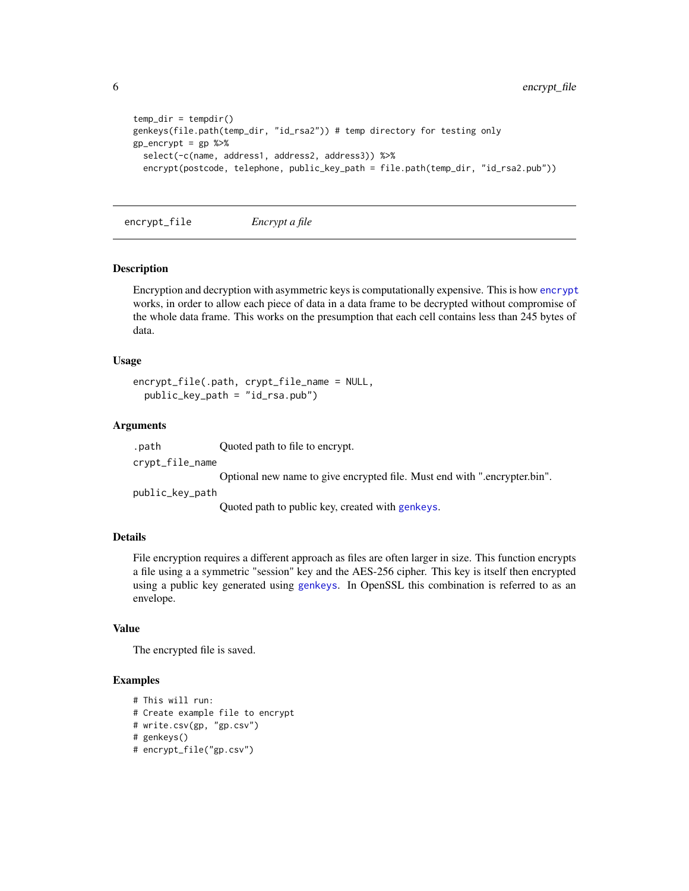```
temp\_dir = tempdir()genkeys(file.path(temp_dir, "id_rsa2")) # temp directory for testing only
gp_encrypt = gp %>%
 select(-c(name, address1, address2, address3)) %>%
 encrypt(postcode, telephone, public_key_path = file.path(temp_dir, "id_rsa2.pub"))
```
<span id="page-5-1"></span>encrypt\_file *Encrypt a file*

#### Description

Encryption and decryption with asymmetric keys is computationally expensive. This is how [encrypt](#page-4-1) works, in order to allow each piece of data in a data frame to be decrypted without compromise of the whole data frame. This works on the presumption that each cell contains less than 245 bytes of data.

#### Usage

```
encrypt_file(.path, crypt_file_name = NULL,
 public_key_path = "id_rsa.pub")
```
#### Arguments

.path Quoted path to file to encrypt.

crypt\_file\_name

Optional new name to give encrypted file. Must end with ".encrypter.bin".

public\_key\_path

Quoted path to public key, created with [genkeys](#page-7-1).

#### Details

File encryption requires a different approach as files are often larger in size. This function encrypts a file using a a symmetric "session" key and the AES-256 cipher. This key is itself then encrypted using a public key generated using [genkeys](#page-7-1). In OpenSSL this combination is referred to as an envelope.

#### Value

The encrypted file is saved.

#### Examples

```
# This will run:
# Create example file to encrypt
# write.csv(gp, "gp.csv")
# genkeys()
# encrypt_file("gp.csv")
```
<span id="page-5-0"></span>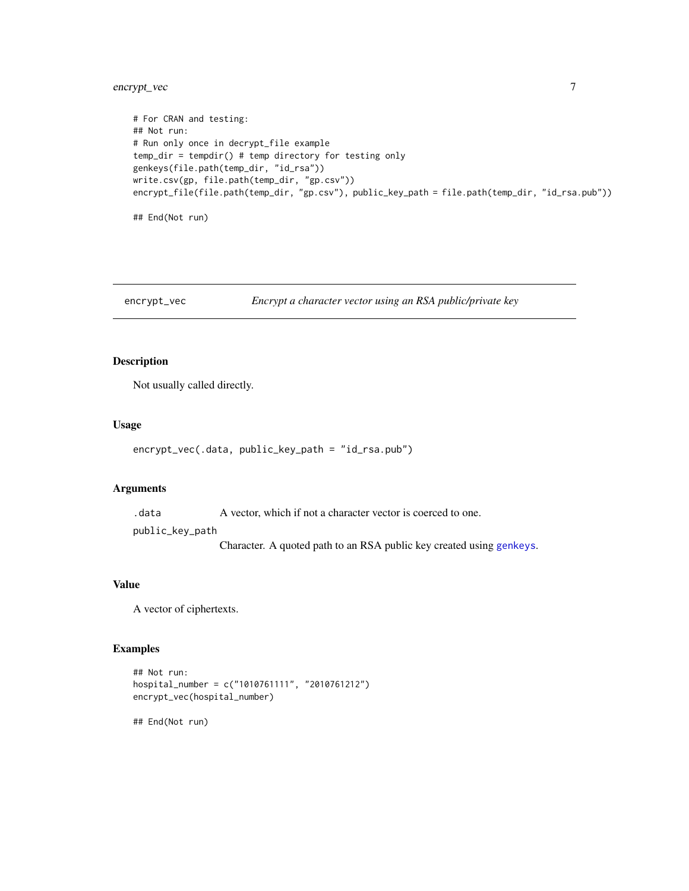#### <span id="page-6-0"></span>encrypt\_vec 7

```
# For CRAN and testing:
## Not run:
# Run only once in decrypt_file example
temp_dir = tempdir() # temp directory for testing only
genkeys(file.path(temp_dir, "id_rsa"))
write.csv(gp, file.path(temp_dir, "gp.csv"))
encrypt_file(file.path(temp_dir, "gp.csv"), public_key_path = file.path(temp_dir, "id_rsa.pub"))
```
## End(Not run)

encrypt\_vec *Encrypt a character vector using an RSA public/private key*

#### Description

Not usually called directly.

#### Usage

```
encrypt_vec(.data, public_key_path = "id_rsa.pub")
```
#### Arguments

.data A vector, which if not a character vector is coerced to one.

public\_key\_path

Character. A quoted path to an RSA public key created using [genkeys](#page-7-1).

#### Value

A vector of ciphertexts.

#### Examples

```
## Not run:
hospital_number = c("1010761111", "2010761212")
encrypt_vec(hospital_number)
```
## End(Not run)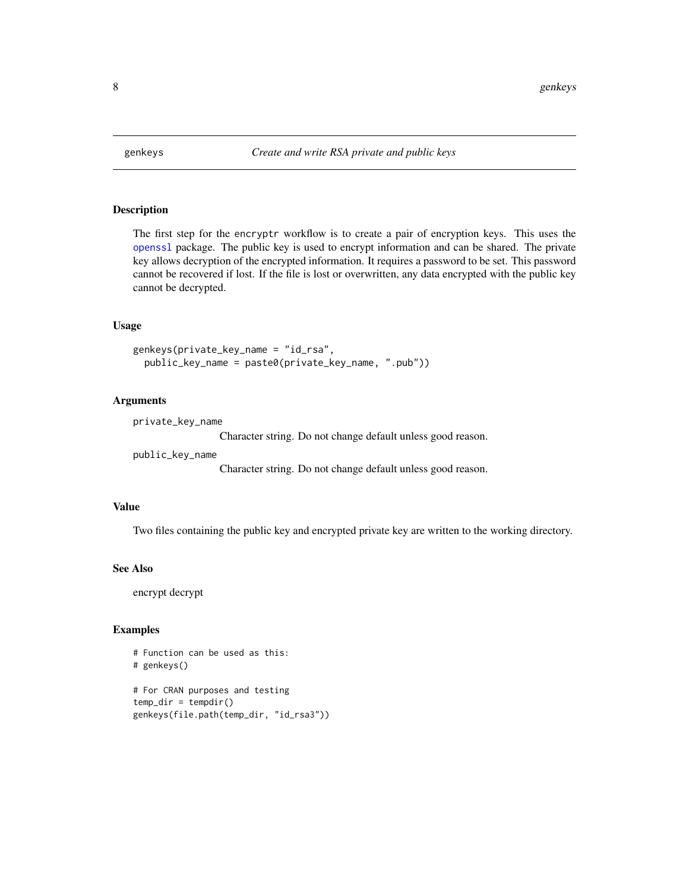<span id="page-7-1"></span><span id="page-7-0"></span>

#### Description

The first step for the encryptr workflow is to create a pair of encryption keys. This uses the [openssl](#page-0-0) package. The public key is used to encrypt information and can be shared. The private key allows decryption of the encrypted information. It requires a password to be set. This password cannot be recovered if lost. If the file is lost or overwritten, any data encrypted with the public key cannot be decrypted.

#### Usage

```
genkeys(private_key_name = "id_rsa",
 public_key_name = paste0(private_key_name, ".pub"))
```
#### Arguments

private\_key\_name

Character string. Do not change default unless good reason.

public\_key\_name

Character string. Do not change default unless good reason.

#### Value

Two files containing the public key and encrypted private key are written to the working directory.

#### See Also

encrypt decrypt

#### Examples

```
# Function can be used as this:
# genkeys()
# For CRAN purposes and testing
temp\_dir = tempdir()genkeys(file.path(temp_dir, "id_rsa3"))
```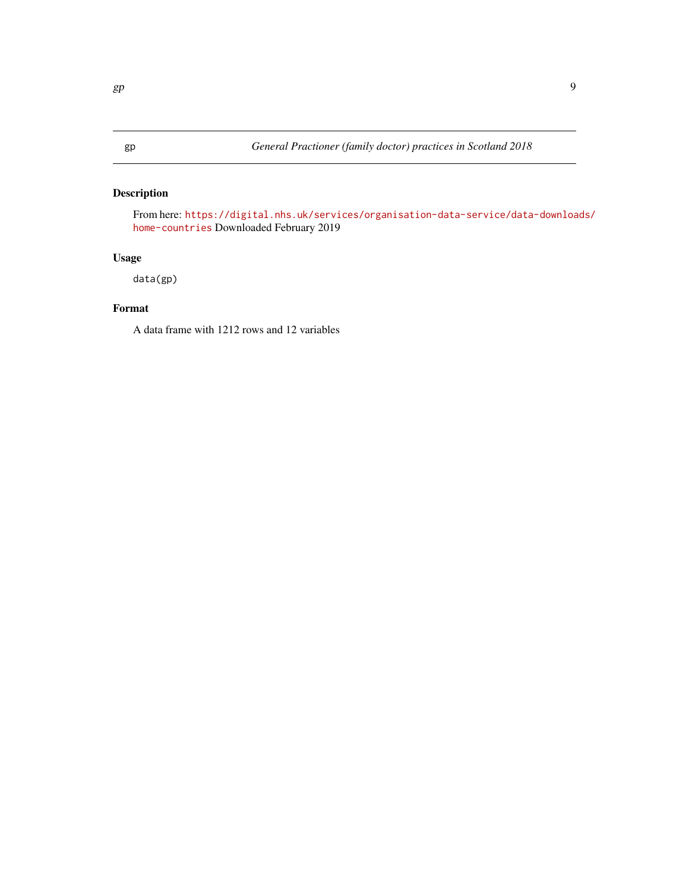#### <span id="page-8-0"></span>Description

From here: [https://digital.nhs.uk/services/organisation-data-service/data-downloa](https://digital.nhs.uk/services/organisation-data-service/data-downloads/home-countries)ds/ [home-countries](https://digital.nhs.uk/services/organisation-data-service/data-downloads/home-countries) Downloaded February 2019

#### Usage

data(gp)

#### Format

A data frame with 1212 rows and 12 variables